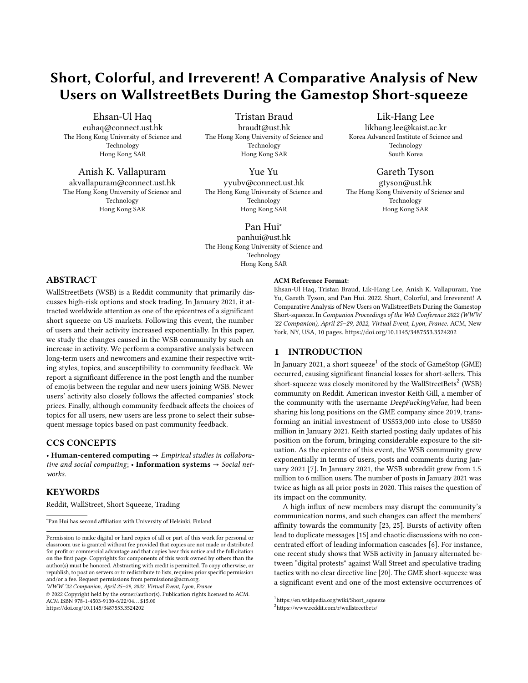# Short, Colorful, and Irreverent! A Comparative Analysis of New Users on WallstreetBets During the Gamestop Short-squeeze

[Ehsan-Ul Haq](https://orcid.org/0000-0002-4578-5302)

euhaq@connect.ust.hk The Hong Kong University of Science and Technology Hong Kong SAR

[Anish K. Vallapuram](https://orcid.org/0000-0001-6474-7179) akvallapuram@connect.ust.hk The Hong Kong University of Science and

Technology Hong Kong SAR

[Tristan Braud](https://orcid.org/0000-0002-9571-0544) braudt@ust.hk The Hong Kong University of Science and Technology Hong Kong SAR

[Yue Yu](https://orcid.org/0000-0002-9302-0793)

yyubv@connect.ust.hk The Hong Kong University of Science and Technology Hong Kong SAR

# [Pan Hui](https://orcid.org/0000-0002-0848-2599)<sup>∗</sup>

panhui@ust.hk The Hong Kong University of Science and Technology Hong Kong SAR

# ABSTRACT

WallStreetBets (WSB) is a Reddit community that primarily discusses high-risk options and stock trading. In January 2021, it attracted worldwide attention as one of the epicentres of a significant short squeeze on US markets. Following this event, the number of users and their activity increased exponentially. In this paper, we study the changes caused in the WSB community by such an increase in activity. We perform a comparative analysis between long-term users and newcomers and examine their respective writing styles, topics, and susceptibility to community feedback. We report a significant difference in the post length and the number of emojis between the regular and new users joining WSB. Newer users' activity also closely follows the affected companies' stock prices. Finally, although community feedback affects the choices of topics for all users, new users are less prone to select their subsequent message topics based on past community feedback.

#### CCS CONCEPTS

• Human-centered computing  $\rightarrow$  Empirical studies in collaborative and social computing; • Information systems  $\rightarrow$  Social networks.

#### **KEYWORDS**

Reddit, WallStreet, Short Squeeze, Trading

WWW '22 Companion, April 25–29, 2022, Virtual Event, Lyon, France

© 2022 Copyright held by the owner/author(s). Publication rights licensed to ACM. ACM ISBN 978-1-4503-9130-6/22/04. . . \$15.00 <https://doi.org/10.1145/3487553.3524202>

#### ACM Reference Format:

Ehsan-Ul Haq, Tristan Braud, Lik-Hang Lee, Anish K. Vallapuram, Yue Yu, Gareth Tyson, and Pan Hui. 2022. Short, Colorful, and Irreverent! A Comparative Analysis of New Users on WallstreetBets During the Gamestop Short-squeeze. In Companion Proceedings of the Web Conference 2022 (WWW '22 Companion), April 25–29, 2022, Virtual Event, Lyon, France. ACM, New York, NY, USA, [10](#page-9-0) pages.<https://doi.org/10.1145/3487553.3524202>

[Lik-Hang Lee](https://orcid.org/0000-0003-1361-1612) likhang.lee@kaist.ac.kr Korea Advanced Institute of Science and Technology South Korea

[Gareth Tyson](https://orcid.org/) gtyson@ust.hk The Hong Kong University of Science and Technology Hong Kong SAR

#### 1 INTRODUCTION

In January 202[1](#page-0-0), a short squeeze $^1$  of the stock of GameStop (GME) occurred, causing significant financial losses for short-sellers. This short-squeeze was closely monitored by the WallStreetBets<sup>[2](#page-0-1)</sup> (WSB) community on Reddit. American investor Keith Gill, a member of the community with the username DeepFuckingValue, had been sharing his long positions on the GME company since 2019, transforming an initial investment of US\$53,000 into close to US\$50 million in January 2021. Keith started posting daily updates of his position on the forum, bringing considerable exposure to the situation. As the epicentre of this event, the WSB community grew exponentially in terms of users, posts and comments during January 2021 [\[7\]](#page-8-0). In January 2021, the WSB subreddit grew from 1.5 million to 6 million users. The number of posts in January 2021 was twice as high as all prior posts in 2020. This raises the question of its impact on the community.

A high influx of new members may disrupt the community's communication norms, and such changes can affect the members' affinity towards the community [\[23,](#page-8-1) [25\]](#page-8-2). Bursts of activity often lead to duplicate messages [\[15\]](#page-8-3) and chaotic discussions with no concentrated effort of leading information cascades [\[6\]](#page-8-4). For instance, one recent study shows that WSB activity in January alternated between "digital protests" against Wall Street and speculative trading tactics with no clear directive line [\[20\]](#page-8-5). The GME short-squeeze was a significant event and one of the most extensive occurrences of

<sup>∗</sup> Pan Hui has second affiliation with University of Helsinki, Finland

Permission to make digital or hard copies of all or part of this work for personal or classroom use is granted without fee provided that copies are not made or distributed for profit or commercial advantage and that copies bear this notice and the full citation on the first page. Copyrights for components of this work owned by others than the author(s) must be honored. Abstracting with credit is permitted. To copy otherwise, or republish, to post on servers or to redistribute to lists, requires prior specific permission and/or a fee. Request permissions from permissions@acm.org.

<span id="page-0-0"></span><sup>1</sup> [https://en.wikipedia.org/wiki/Short\\_squeeze](https://en.wikipedia.org/wiki/Short_squeeze)

<span id="page-0-1"></span><sup>2</sup> <https://www.reddit.com/r/wallstreetbets/>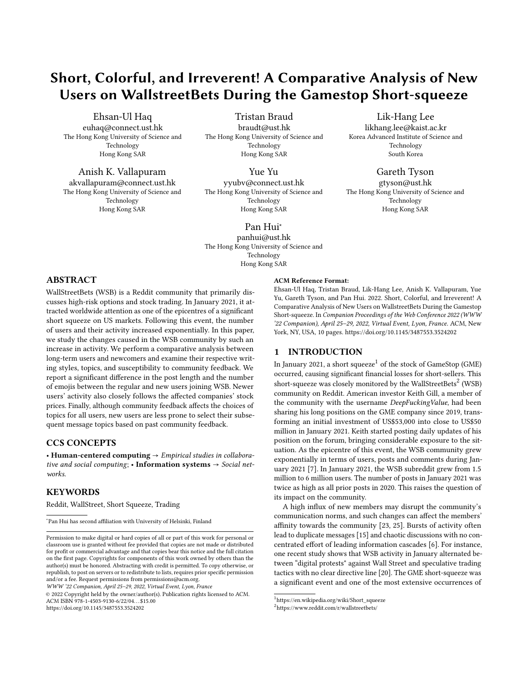an online community significantly disrupting the stock market. As such, the study of the WSB community may present unique implications on how online activity can affect offline events. Conversely, we posit that the sudden increase in community size provides us with a singular opportunity to study how communication norms evolve in an online community following an offline event. This paper explores the user writing and engagement characteristics concerning this event. This analysis evaluates how new users behave in the WSB subreddit and their reception by the existing community. The results from this study can offer valuable insight for downstream research problems, such as feature engineering for machine learning tasks [\[32,](#page-8-6) [39\]](#page-8-7). Additionally, characterising users on their traits and what factors can affect their communication choices plays an essential role in marketing or designing better algorithms to help retain users [\[16\]](#page-8-8).

To the best of our knowledge, no prior work has characterised the impact and nature of such rapid community shifts in reaction to offline events. We argue that WSB offers a perfect case study for this exploration, particularly given the significant financial impact of the event itself. Note that such an increase in community size is also different from user influx caused by defaulting the subreddit [\[28\]](#page-8-9).

To understand the shifts in community norms during the shortsqueeze, we classify users based on their assumed subscription date to WSB. We separate older users from those who joined during the short squeeze and comparatively analyse their activity. We first explore the differences in the communication style of each user group and aim to evaluate new users' communication based on text length, emoji usage, and community feedback. We expect the new users to be primarily attracted to the short squeeze and for most discussions to revolve around the price of the companies' stocks. To confirm this assumption, we evaluate the correlation of the users' mentions of company names to the stock prices. Finally, previous research shows that community feedback plays a significant factor in authors' choice of topics [\[1\]](#page-8-10). We later revisit this hypothesis, looking at users' activity and the community itself. We compare the effect of such feedback in two different periods and based on the users' categorisation depending on their joining and activity. In summary, we ask the following research questions:

- RQ 1: How does the writing style differ between long-term users and users that became active after January 2021?
- RQ 2: Which users have a higher correlation with the stock market volatility based on their activity and writing styles.
- RQ 3: What is the influence of community feedback (comments) and topical trends on the users choice of topics?

We discover a significant difference between the writing style of users who joined in January 2021 (new users) and those users who were active in the previous year. New users (who most likely joined to follow the online trends and participate in the campaigns for holding the stock prices) wrote shorter messages with more emojis than senior users. We also find that community feedback has a much lower influence on new users' topical choices. This triggers a shift in community behaviour, driven by this influx. Although we notice significant differences in writing styles, community topics and behaviours between user groups, we note that newer users do adapt to the community to some extent. For example, we observe them adopting the characteristic "lingo" and emojis of the WSB community.

#### 2 RELATED WORK

Discussion-oriented online communities, including Reddit, are widely studied and can offer valuable insight into users, e.g. concerning demographics and social events [\[18,](#page-8-11) [30\]](#page-8-12). Users' behaviour can also be profiled based on their participation and engagement with the rest of the community members [\[14,](#page-8-13) [19\]](#page-8-14).

Our study focuses on the impact of sudden community growth, member characterization and their correlation with offline events. Several prior works focus on the outcomes of increases in community size. Often, an increase in community size is associated with friction between new and old users, where old users may consider new users as a reason for community norm disturbance [\[28\]](#page-8-9). Additionally, the influx of new users is associated with reduced content quality and users who are less susceptible to community norms [\[17,](#page-8-15) [26\]](#page-8-16). Similarly, the linguistic patterns of new users can be linked to moderation practices in the community. Cheng et al. show that users who deviate from the general community linguistics while posting a high number of comments may get banned [\[9\]](#page-8-17).

Others have focused on understanding how user behaviours are associated with feedback and engagement from the rest of the community members [\[25,](#page-8-2) [27\]](#page-8-18). This feedback has been measured using various metrics, including the number of upvotes, downvotes, and comments on a given post [\[2\]](#page-8-19). This, in turn, has led to work on trying to predict future user behaviour based on observed community feedback within communities [\[1,](#page-8-10) [12\]](#page-8-20).

These predictions rely on several features and observations. For example, Adelani et al. show that community feedback affects the topical choice of about one-third of active users on Reddit [\[1\]](#page-8-10). Similarly, the scores on a user's previous posts can often predict the sentiment of future posts [\[12\]](#page-8-20). These observations have also led to a better understanding of strategies to improve future community engagements. For instance, posting about trending topics can help users to gain more followers [\[34\]](#page-8-21). In this paper, we build upon the work from Adelani et al. [\[1\]](#page-8-10) to show that new users are more susceptible to community feedback than regular users on WSB. Compared to Adelani et al., who studied all users indifferently of their provenance, we categorise WSB users based on their potential joining time-period and the differences in their activity.

In this paper, we focus on WSB as an exemplar of a growing community with considerable effect on the real-life market, as evidenced by [\[10\]](#page-8-22). A small set of recent studies analysed the WSB subreddit. One study associates several social factors (e.g. COVID-19 and inequality) with the WSB activity that led to the shortsqueeze [\[8,](#page-8-23) [10\]](#page-8-22). Several studies also correlate WSB users' activity and stocks prices [\[37\]](#page-8-24). A recent work reports that WSB posts containing buy signals from one firm can affect the return value of options [\[7\]](#page-8-0). Similarly, [\[36\]](#page-8-25) correlates user activity on WSB with price fluctuations. Social media combined with the search engine data can also provide market insights [\[29\]](#page-8-26), whereas another work observes consistent speculative activity patterns for WSB users who are involved in stock trading [\[20\]](#page-8-5).

In contrast to these prior efforts on WSB, we focus on using WSB as an exemplar for a community with a sudden and significant influx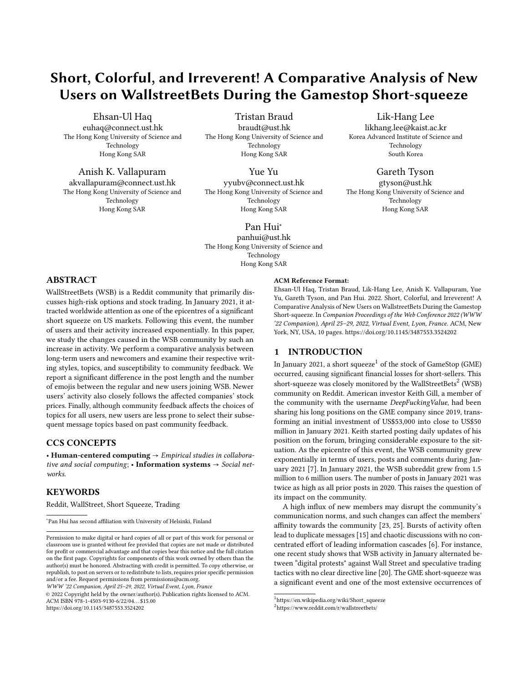triggered by external events. In particular, we look at how new users tried to adapt to the community norms and the community response to them. Thus, our study focuses on characterising different user groups based on their activity and the correlation with the financial markets.

#### 3 WALLSTREETBETS

WallStreetBets is a subreddit that takes a less serious approach to stocks and options trading, self-described as "Like 4chan found a Bloomberg Terminal". WSB users also differentiate themselves through specific, often politically incorrect terminologies, mixing text and emojis. This community is considered to be one of the epicentres of the 2021 GME short squeeze [\[4\]](#page-8-27). It received worldwide attention, leading to exponential community growth in January 2021. In only a month, the number of users quadrupled, and the number of posts exceeded the entire 2020 count. In the rest of this paper, we discuss the impact of such sudden community growth on users' communication patterns in the WSB subreddit.

Dataset: We collect all posts on the WSB subreddit between the 1st January 2020 and the 30th January 2021. Due to the large number of posts, we use the pushshift API.<sup>[3](#page-2-0)</sup> Pushshift collects content generated on Reddit, considerably simplifying the data collection process. In total, we collect 300,292 posts from the year 2020 and 378,548 posts during January 2021. These posts are made from 107,542 and 218,279 users in 2020 and 2021, respectively. 8,286 and 7,452 posts were deleted in 2020 and 2021, respectively. Note Pushshift keeps records of the content even after it is deleted. Only content that was automatically deleted (primarily for violating community guidelines) appears deleted within the query results, explaining the low number of deleted posts in our dataset.

Data Pre-Processing: We later perform a comparative analysis between the two periods. Thus, we divide the data into two sets: the first set contains all posts from 2020, before the GME short squeeze, and the second set contains the content posted during January 2021, i.e., when the short squeeze happened, and the WSB community came into the spotlight. This time split allows us to study the differences in content generation patterns. However, some users are active in both periods. Therefore, we further divide the data based on user activity. We do not have the users' profile information, and we do not know when the users subscribed to Reddit, let alone the date they joined WSB (which is not accessible to the public). Thus, we assume that users who appeared in 2021 but have no posts on WSB in the preceding year are new users who joined during the short squeeze in January 2021. This categorisation helps us differentiate the users who might have joined WSB because of offline activity in the stock market from earlier users in WSB. Note that our dataset contains many users whose posts only appear in January 2021, supporting this hypothesis.

Finally, we divide users into four groups. (1) The 2020 users (who only posted in 2020 and not in 2021), and (2) The 2021 users (who only posted in January 2021). The continuing users (who posted in both years) are then divided into two groups: (3) continuing-2020 (with posts exclusive to 2020), and (4) continuing-2021 (with posts exclusive to 2021). The last two groups give us additional comparative space to characterize the community communication

<span id="page-2-1"></span>

Figure 1: Distribution of the writing characteristics for three groups of users. (a) comments, (b) number of emojis in text, and (c) number of words in the post. Users active in 2020 (2020 and continuing user groups) have longer posts, most posts but use less emojis.

norms. In the rest of this paper, we often group the 2020 group and the continuing group under the name "senior users" for ease of readability and comparison when the behaviour is generalizable. In total, 87,622 users belong to the 2020 user group, 218,279 users belong to the 2021 user group, and 19,920 have contributed to the community in 2020 and 2021.

#### 4 METHODOLOGY & RESULTS

In the following sections, we first compare the authors' writing patterns between the two time periods (RQ1) before studying the correlation between offline stock prices and online activity for new users as compared to senior users (RQ2). Finally, we perform topic analysis to evaluate the effect of community feedback depending on the time period and the user categories (RQ3).

#### 4.1 RQ1: Author Writing Patterns

RQ1 shows the differences between users' writing styles depending on when they joined the WSB community, alongside the ensuing response from the community. This research question helps us confirm that the user groups, as defined in the previous section, display statistically significant differences, exhibiting a shift in users and content in January 2021.

We start by comparing the writing styles of new users (2021 group) with senior users (2020 users and continuing users based on their activity in the two periods) as well as the respective responses of the community through the following parameters:

● Use of Emojis: WSB members use certain emojis within their text. In January 2021, such usage of emojis (e.g., 'to the moon'  $-\mathcal{D}\bigcirc$ ) became more pervasive among WSB users. To study the community shift, we compare the volume of emojis used among user groups.

<span id="page-2-0"></span><sup>3</sup> <https://pushshift.io>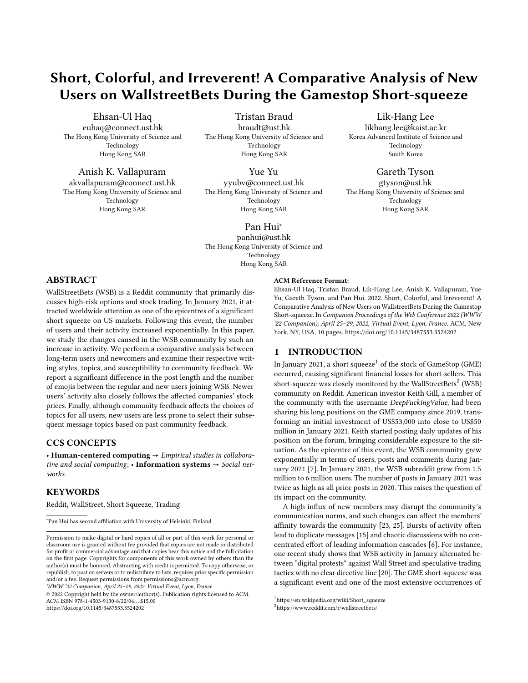- Post length: The length of a message can highlight the effort expended by the author to write posts, and it impacts the readers' ability to comprehend the message.
- Number of comments: The number of comments is one of the standard engagement markers.

The two first properties have been used in various user classification tasks [\[14\]](#page-8-13), and help us confirm whether users who joined during the GME short squeeze exhibit a different behaviour to long-term members of the community. The number of comments represents the community's response to the new influx of users during January 2021. Previous research has shown that such characteristics can also highlight anti-social behavior [\[9\]](#page-8-17). We use Kruskal-Wallis(KW) test, followed by Dunn's test, to show the statistical difference between each group [\[13\]](#page-8-28). In addition, we use the Bonferroni adjustment to control the simultaneous test problem.

These tests confirm that the users who joined in 2021 have a different writing style and response than the users active in 2020. Users' activity periods have a significant effect on the number of emojis (KW Test: $X^2(3) = 2683$ ,  $p < 0.0001$ ), comments (KW) Test:  $X^2(3)$  = 28150,  $p < 0.0001$ ), and number of words (KW Test:  $X^2(3)$  = 18663,  $p < 0.001$ ) for users in the four groups. Within each group, we further consider two subgroups: (1) the users who are among the top 25% based on their volume of posts, and (2) the users who have more than  $\mu + \sigma$  posts where  $\mu$  is the mean number of posts and  $\sigma$  the standard deviation of posts from all users. We report the test statistics for all groups in Table [1.](#page-3-0) We further perform the pairwise comparison across the groups and show Dunn's test statistics in Table [4](#page-9-1) (Appendix). For all comparisons, the p-value is below 0.001, confirming the significant differences in the communication styles and community feedback between users present in 2020 and new users in 2021. The distributions in Figure [1](#page-2-1) and the pairwise comparisons show that newer users (2021) favour shorter messages with more emojis.

We note that emojis were part of the WSB writing styles before the short-squeeze (more discussion in Section [5\)](#page-5-0). We assume that higher usage of emojis and shorter messages may provide a quick workaround to post, considering that WSB involves chaotic discussions and new users wanted to raise their voice during this short-squeeze event [\[6,](#page-8-4) [20\]](#page-8-5). Another observation is the deviation in the behaviour of the continuing users from the community norms in 2020. The continuing-2021 users used more emojis in 2021 as compared to 2020. Additionally, continuing-2021 users wrote longer posts than the new users in 2021 (albeit shorter than continuing-2020 norms). This shows that the time period of the analysis is of significance when observing the user characterization. The difference for the new users is intuitively based on the sudden surge in community size and posts. However, the significant change in norms for continuing users is an interesting observation that can be explored further for causal analysis in future studies.

#### 4.2 RQ2: Author groups and stock prices

RQ2 aims to establish whether a user group is more sensitive to the volatility of stock prices in their choices of topics. We thus study the correlation between price volatility and the number of mentions of the company name or ticker. Previous studies have suggested that volume-based measures (mentions of the company

|                  | Comments | <b>Emojis Text</b> | Words   |
|------------------|----------|--------------------|---------|
| overall          | 28150.3  | 2683               | 18663.2 |
| top 25           | 23355.1  | 6881.8             | 16213.8 |
| $> \mu + \sigma$ | 9504.4   | 4170.9             | 7284.1  |

<span id="page-3-0"></span>Table 1: Kruskal-Wallis Results  $(\chi^2(3))$  for the writing style differences between the three user groups. All results are statistically significant with  $*** = p < 0.001$ .

name) have a positive correlation with stock prices [\[36\]](#page-8-25). Contrary to these studies, we focus on volatility. Volatility can capture the risk associated with financial assets during a given period [\[31\]](#page-8-29). As high-risk trading strategies characterise the WSB community, we expect that users are more eager to react to price variations rather than the absolute price itself.

We define volatility as the standard deviation of the logarithmic return of the stock prices over a particular time period,  $\sigma_p =$  $\sigma_{dailu} \sqrt{P}$ , where P is the number of days, and  $\sigma_{dailu}$  is the standard deviation of logs of returns. We perform the volatility analysis over five-day periods (one week in the stock market).

We then perform Pearson correlation analysis to see which user group's mentions of a given company have a stronger correlation with the stock price volatility. Although users mention many companies in our dataset, we only consider the three most discussed and speculated companies during short squeeze, namely GameStop (GME), BlackBerry (BB), and AMC Entertainment (AMC). We use the Yahoo Finance  $API<sup>4</sup>$  $API<sup>4</sup>$  $API<sup>4</sup>$  to collect the stock price data starting from 1st January 2020 until 30th January 2021.

We first test if the daily volume of posts correlates with the stock volatility. For this, we first extract all mentions of a given company. We include stock market tickers for the company, the company name, along with all sensible variants as mention. For instance GME, GameStop, and Game Stop will all be considered as mentions for GameStop. To understand the importance of different users, we separate the mentions based on which user group posted them.

Table [5](#page-9-2) (Appendix) presents the correlation between the volume and number of mentions for the three stocks. New users exhibit a stronger correlation with the stock volatility, confirming that new users likely subscribed to WSB because of the offline stock squeeze. Their discussions primarily follow the variations of the studied stock prices. That said, there are interesting observations on senior users. The continuing users (continuing-2020) did not have a significant or have very low correlation during 2020. But the rest of the community collectively (2020 users) have a relatively medium to high correlation with the stock volatility. However, the correlation for continuing users increased significantly during 2021, albeit lower than new users. Possible reasons for this could be a significant change in emoji use coupled with a higher frequency of the message during 2021 for the continuing-2021 users. We then run the above analysis for posts that contain at least one emoji. WSB users use a wide variety of emojis to express sentiment related to stock prices movements. This analysis examines whether posts containing emojis have a higher correlation with volatility. 2021 users (new users) tend to use more emojis than the other senior

<span id="page-3-1"></span><sup>4</sup> <https://rapidapi.com/apidojo/api/yahoo-finance1>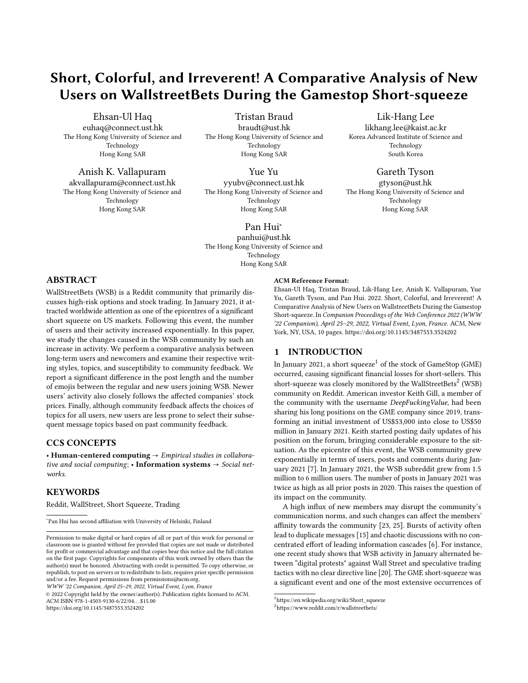

Figure 2: Daily volume of overall posts (yellow solid line) and posts containing emojis (purple dashed lines) for three companies and the respective company's 5-days period stock volatility (red solid line). Mentions of the company name closely follows the volatility.

(See Table [6\)](#page-9-3) (Appendix). However, the volume of the mentions that contains emojis has less correlation to stock price volatility than the volume of all mentions.

These results also highlight that continuing users became part of the large-scale information cascade. The qualitative analysis of their messages can highlight whether continuing users aligned with the new users in the discourse. Nonetheless, the senior users changed their communications significantly (RQ1), and their higher correlation with stock volatility further supports this change compared to 2020.

### 4.3 RQ3: Community Feedback and Topic Continuation

Finally, we analyse and compare users' susceptibility to continue writing on a given topic in two consecutive posts based on the feedback received on their previous posts in WSB. If a user writes two successive posts on the same topic, the user is said to continue the topic. We want to remind readers that community feedback refers to the number of comments and scores on a Reddit post. In our work, we only use the number of comments users receive on their posts as the primary indicator of community feedback.

4.3.1 Overview of Methodology. We employ the framework proposed by [\[1\]](#page-8-10). This framework uses a regression model to predict whether users will revisit a topic based on previous posts' feedback. We narrow down the model's scope to fit the smaller WSB community and study the two time periods separately. The model relies on three features: user topic preference, user feedback likelihood, and topic trend at a given time  $t$ . Eventually, we use the results from this model to measure the effect size of the feedback feature in each

user group. That is, the influence of community feedback on the choice of subsequent topics. The effect size of feedback can help us understand which user group is more susceptible to community feedback.

4.3.2 Feature Extraction. This section presents the three features and how we extract them from the data.

Topic Modeling: We use the Latent Dirichlet Allocation (LDA) model to find the topics [\[5\]](#page-8-30). The number of posts in January 2021 is similar to the number of posts for the entirety of 2020. We divide the data into two time periods: 2020 and 2021. We then apply LDA to each year's data separately. We assume that such separation does not affect our users' grouping as the users active in 2020 and 2021 will have their posts considered in both periods. We evaluate the quality of the topic modelling using the coherence score [\[33\]](#page-8-31). We experiment with LDA models with topics ranging from 5 to 30. The optimal number of topics is 16 and 14 for 2020 and 2021, respectively. This evaluation confirms our decision to separate the data into two subsets: the quality of the topics using the whole dataset is lower than considering two separate subsets.

Topic Preference: The topic preference (TP) refers to the author's preference for a topic at the time of the post. Formally, it is the probability of a user  $i$  to post on a topic  $k$ . Laplacian Smoothing is applied to this probability. Hence, the probability can be denoted as

$$
P_i(k) = \frac{N_i(k) + 1}{N_i + K}
$$

where  $N_i(k)$  and  $N_i$  are the number of posts on topic  $k$  and total number of posts from the user  $i$ , respectively and  $K$  is the number of possible topics. We then apply the inverse of the sigmoid function  $(\sigma^{-1})$  to  $P_i(k)$ , thus a topic preference for a user *i* is then defined as

$$
X_i(k) = \sigma^{-1}(P_i(k))
$$

Topic Trend: Topic trend (TT) refers to the most popular topic at any particular time in the community. We use a daily time window for trending topics for the sake of simplicity. The topic with the most posts on a given day is considered a trending topic. There are 362 time-bins in 2020 and 30 bins in 2021; for each day, each topic's posts are counted and normalised. Based on the day of the post, the trending topic  $k$  (from  $K$  topics as calculated by LDA in the first step) is given to the regression model.

Feedback for a User: In the feedback feature, we model the number of comments received by a user on a post. Feedback is modelled in three different ways: (a) feedback rate  $r_i = N_c/\Delta t$  where  $N_c$  is the number of comments received for a post by user *i* and  $\Delta t$  is the time since the previous post; (b) the log of feedback rate  $log(r_i)$ ; and (c) the cumulative probability of the feedback rate  $P(R_i < r_i)$ that the user receives on one post compared to all of the users' posts.

4.3.3 Topic Continuation Model. We now look at predictive analysis of whether a user will continue the topic in the next post based on the features mentioned above. The topic continuation label for a given post is decided by checking the previous post's topic. If both posts have the same topic, we consider the topic continuation label as true.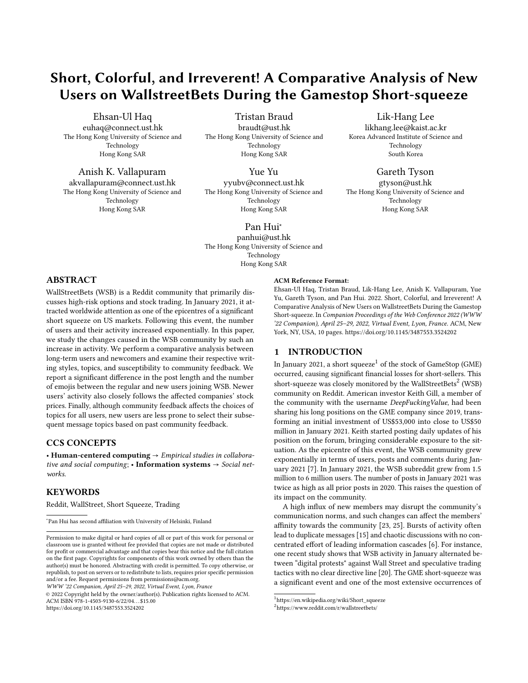<span id="page-5-1"></span>WWW '22 Companion, April 25–29, 2022, Virtual Event, Lyon, France Haq et al. And the state Haq et al.

|            | Moderately Active | <b>Highly Active</b> |
|------------|-------------------|----------------------|
| 2020       | $0.881 \pm 0.037$ | $0.963 \pm 0.058$    |
| 2021       | $0.919 + 0.018$   | $0.989 + 0.012$      |
| Cont. 2020 | $0.877 \pm 0.083$ |                      |
| Cont. 2021 | $0.828 \pm 0.096$ |                      |

Table 2: Mean and standard deviation of cross-validated test accuracy for different user groups. Model achieves higher accuracy for new and highly active users.

We train several models using different combinations of the above features to perform feature importance analysis. We use crossvalidation with 20 splits. We report the average accuracy scores and standard deviations for each model in Table [7](#page-9-4) (Appendix). All models trained with the feedback features are combined with the topic trend (TT) and topic preference (TP) features. Using the TT and TP features together results in a significant increase compared to using either individually.

The model with all features performs the best, suggesting users are susceptible to posting on topics for which they receive higher feedback. The results for both periods (2020 and 2021) are consistent. However, this behaviour is more predictable in 2021 (during the short squeeze) than in 2020, with higher accuracy for 2021. In other words, community feedback is a better predictor of the topics in 2021 compared to 2020. The performance improvements using all three features is shown through Cohen's  $d$  effect size. We compare the test scores from the model with  $\log(N_c/\Delta t)$  feedback and the model without feedback. The effect sizes are 0.42 and 0.16 for 2020 and 2021, respectively. Although community feedback is a better predictor of topic choices in 2021, users in 2020 were more susceptible to community feedback than users who posted in 2021. Such a result suggests new users being less receptive to the community feedback, diverting the community from its original purpose.

4.3.4 User Characterisation. After establishing the model features and the effect size of the feedback for the time split data, we understand the effect of such features on the different user groups based on their activity level. We measure the activity of users as the average time delay between posts. A user is considered highly active if their activity is in the top 25 percentile. The remaining users are considered moderately active users. We train the logistic regression model for each group separately. We use the best performing configuration in Table [7](#page-9-4) with cross-validation of 20 splits and report the test accuracy scores in Table [2.](#page-5-1)

The model presents a higher accuracy to predict the topic continuation for users who joined in 2021, confirming the results from the previous section. Moreover, the model displays a high accuracy for highly active users in all user groups. To further explore the effect size of community feedback, we perform Cohen's test across all group sizes and show the results in Table [3.](#page-5-2) The effect size varies based on the activity of users within a group. The effect size is also different across all groups. We observe several patterns. Highly active users from 2021 and 2020 are more susceptible to community feedback than moderately active users. Continuing users (the regular users) remain the least susceptible to community feedback. Even during the short squeeze event, their susceptibility remained lower. Regular users seem to care less about the community's feedback

<span id="page-5-2"></span>

|                | 2020    | 2020    | 2021    | 2021    | Cont-   |
|----------------|---------|---------|---------|---------|---------|
|                | (Mod.)  | (Act.)  | (Mod.)  | (Act.)  | 2020    |
| 2020<br>(Act.) | 0.81    | 0.00    |         |         |         |
| 2021<br>(Mod.) | 0.911   | $-0.30$ | 0.00    |         |         |
| 2021<br>(Act.) | 2.62    | 0.757   | 2.55    | 0.00    |         |
| Cont-<br>2020  | $-0.13$ | $-0.59$ | $-0.49$ | $-1.10$ | 0.00    |
| Cont-<br>2021  | $-1.45$ | $-1.83$ | $-1.99$ | $-2.80$ | $-0.85$ |

Table 3: Cohen's effect size comparison of feedback susceptibility on topic continuations on different combinations of user groups with different levels of activeness: moderate (Mod.) and active (Act.). Community feedback has a higher effect size for the higher active user groups.

on their topic choice when compared to the rest of the users. On the other hand, the newer users, particularly highly active new users, cared more for the community feedback. This also suggests that newer users tried to adjust with the community preference compared to the continuing users. Even though the continuing users significantly changed their communication patterns (RQ1), their susceptibility to the feedback changed only by the margin of 0.85 during this period.

#### <span id="page-5-0"></span>5 FINDINGS AND IMPLICATIONS

We summarize our findings as follows:

RQ 1: Significant differences exist among the writing styles of users groups. New users (2021) write shorter posts with more emojis as compared to the posts by users in 2020. Continuing users changed their patterns to shorter posts with more emojis during short squeeze, albeit still writing longer posts than newer users. Continuing users, in general, have a higher number of comments.

RQ 2: There is a positive correlation between the number of posts mentioning the three companies with the volatility of the stock prices. Such correlation is higher for new users (2021) than senior users (2020 and continuing), as new users joined the subreddit following the explosion in the volatility of these companies.

RQ 3: The model predicts users' next conversational topic with high accuracy. Community feedback is a better predictor for topic choice in 2021. Highly active users tend to be more sensitive to community feedback than moderately active users. However, the continuing users remain less susceptible to feedback during 2021 and 2020.

Emojis usage and community evolution: These research questions reflect the significance of user behaviours in WSB and hence their topical choices. To further analyse and understand WSB users' collective action, we delve into frequent expressions and emojis in messages. The WSB users developed a self-deprecating norm derived from meme and emojis cultures, i.e., humorous ideation with a broad cultural reference propagating through social media. These norms lead to the appearance of a characteristic lingo, mixing original expressions and emojis to carry the message. These sentences involve market-related sentiment (*'to the moon'* or  $\mathscr{A}\mathbb{O},$ 'diamond hands' or  $\bigtriangledown \mathbb{D}$ , 'paper hands' or  $\bigcirc \mathbb{D}$ , and 'gay bears' or ), but also expressions sheding light on how users perceive the community in its whole ('wife's boyfriend', 'tendies' or  $\bullet$ , 'apes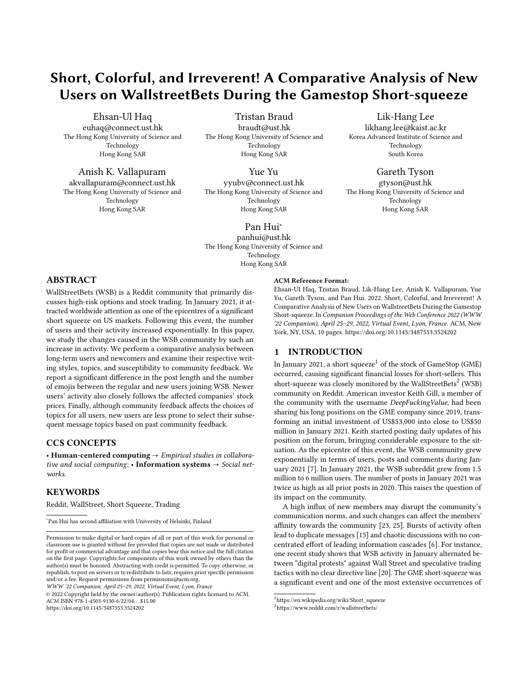( $\bigcirc$ ) together strong'), and others purely related to popular memes on Reddit as a whole ('it ain't much, but it's honest work'). Often, these phrases are replaced or reinforced by emojis. For instance, stands for 'gay bears', referring to the uncooperative stock selling or shorting, and hence the fall of the stock prices, while  $\mathscr{O}$ corresponds to the price skyrocketing 'to the moon'.<sup>[5](#page-6-0)</sup> Similarly,  $\nabla \mathbf{\Theta}$ , or 'diamond hands' implies that the users will hold the stock regardless of the investment risk. [6](#page-6-1)

Figure [3a](#page-7-0) further depicts the trends of the top-5 expressions in 13 months, while Figure [3c](#page-7-0) represents the top-5 emojis. These two figures show that the community had embraced these expressions and the corresponding emojis long before the 2021 increase in community size. New users joining the community in January 2021 rapidly adopted such an emoji-popular communication media, as we demonstrated in RQ1. It is important to note that communication among users aligns with a shared goal of stimulating the stock prices to work against short-selling by professional traders from Wall Street. The expressions and emojis serve as a symbol conveying such a shared goal. For instance, the top-rated expressions in WSB 'to the moon' and 'diamond hands', respectively represented by the emojis 'rocket' and 'gem\_stone' encourage participants in WSB to buy in and hold the stock. Meanwhile, expressions such as 'paper hands' and the related emojis 'bear' and 'rainbow' discourage counterproductive actions through selling the stocks. As a result, the stock prices reached their 52-week peaks on 27th Jan 2021 (BB: \$ 25.10 USD; GME: \$ 347.51 USD; AMC: \$19.90 USD).

In Figure [3b](#page-7-0) and [3d,](#page-7-0) we present the normalized proportion of the top-5 expressions and emojis over each day. Such a representation allows us to evaluate the most popular expressions during a given period and shed light on the market sentiment. As expected, the bearish market in 2020, primarily due to high uncertainty from the COVID-19 pandemic, makes popular use of emojis such as 'bear' and 'rainbow' representing selling the stocks. In contrast, the emojis representing 'buy-in' or 'holding the stock' (i.e., 'rocket', 'gem\_stone', and 'raising\_hands') start to surface in late 2020. During Jan 2021, the users' sentiments in WSB were reflected by the encouragement of 'buy-in' or 'holding the stock', albeit a shared goal supports such positive sentiments. Finally, it is interesting to note that usage of the expression 'tendies' significantly drops by the end of 2020. This expression was often used as a synonym for monetary gains. Therefore, we would expect to explode during January 2021, where many users made or looked forward to monetary profit. A potential explanation for discrepancy could be the influx of new users who did not entirely adopt the community codes they are joining. In addition, a significant change in the use of emojis by continuing users occurred during January 2021, with communication norms in 2021 being closer to the new users. However, we do not have a causal analysis for this behaviour whether new users were following this change in the regular users' behaviour or is vice-versa. Causal analysis for similarity in behaviour remains a potential question for further study. Our works quantify such differences, and future work based on cross-interaction between

different user types can explain the causal for reported community change.

Community changes: concerted effort or individual voices? Despite disrupting the discourse in the community (RQ 1 and RQ 3) and evident offline correlation (RQ 2), the new users' characteristics do not fully conform to anti-social behaviour. Such deviation in communication norms is associated with potential trolling and anti-social behaviour in previous research [\[9\]](#page-8-17) notably when the regular users of the community shifted their communication closer to the new users than in 2020. Our results show that even though the use of emojis and words is different for new members, their posts still cannot attain a higher number of comments as compared to the continuing users (Figure [1\)](#page-2-1). The new users, who were the primary source of the posts surge during the short squeeze event, could thus not get greater attention from other community members. In other words, new users could not succeed in generating longer discussions threads compared to the continuing users. This phenomenon confirms the finding from [\[20\]](#page-8-5), showing that new users have less cohesive campaigns and their posts are primarily the result of individual voices.

This behavioural difference between the users can affect the community maintainability. Previous research on sudden change highlights that effective community moderation in the sudden surge can help to maintain the order and sustain the growth in the community [\[23\]](#page-8-1). Although we do not study moderation efforts by senior users, our data statistics show that continuing users have also increased their activity during January, posting over 8,000 messages in January 2021 compared to 3,548 messages in December 2020. Further content analysis can highlight how senior users interact with new users during this period.

Sensitivity of users to community feedback: Lastly, we reviewed the community feedback and examined its relationship with the user's topical choice. Such a relationship can improve the prediction of topical choices for all user groups. Indeed, the behaviours of participants in WSB aligns with a theory of social science [\[21\]](#page-8-32): "positive experiences lead to ingrained memory in the participants' minds, and the participants have the tendency of repeating the events to obtain such positive experience". In this sense, participants in WSB get positive experiences by gradually achieving the goal of securing the stock prices at surging trends and thus sabotaging the profitability of professional traders. It is noteworthy that, different from the above prior work, the participants in WSB show different effect sizes. Community feedback displays a more noticeable effect size for highly active users. On the other hand, new users are significantly more affected by community feedback in their topic selection than senior users. Although we do not conduct causal analysis between the user behaviours in WSB and the user goal(s), one possible explanation of such a different effect size is as follows.

New users entered the community during the hype of stock price volatility. As a result, their interests are primarily related to the volatility of a few companies. Hence, that would have resulted in fewer topics discussed during 2021 (also evident from our topic modelling results from Results Section regarding RQ3). Their higher susceptibility to the feedback can also show their efforts to reinforce their sense of belonging to the community. On the other hand, more senior users have already integrated into the community's and thus care less about their topical choice based on community feedback.

<span id="page-6-0"></span><sup>5</sup> [https://www.reddit.com/r/wallstreetbets/comments/kmnj9d/reloaded\\_today\\_20k\\_](https://www.reddit.com/r/wallstreetbets/comments/kmnj9d/reloaded_today_20k_shares_1950_diversification_is/) [shares\\_1950\\_diversification\\_is/](https://www.reddit.com/r/wallstreetbets/comments/kmnj9d/reloaded_today_20k_shares_1950_diversification_is/)

<span id="page-6-1"></span> $^6$ [https://www.reddit.com/r/wallstreetbets/comments/lmkzmd/weve\\_come\\_this\\_far\\_](https://www.reddit.com/r/wallstreetbets/comments/lmkzmd/weve_come_this_far_retards_all_paper_hands_are/) [retards\\_all\\_paper\\_hands\\_are/](https://www.reddit.com/r/wallstreetbets/comments/lmkzmd/weve_come_this_far_retards_all_paper_hands_are/)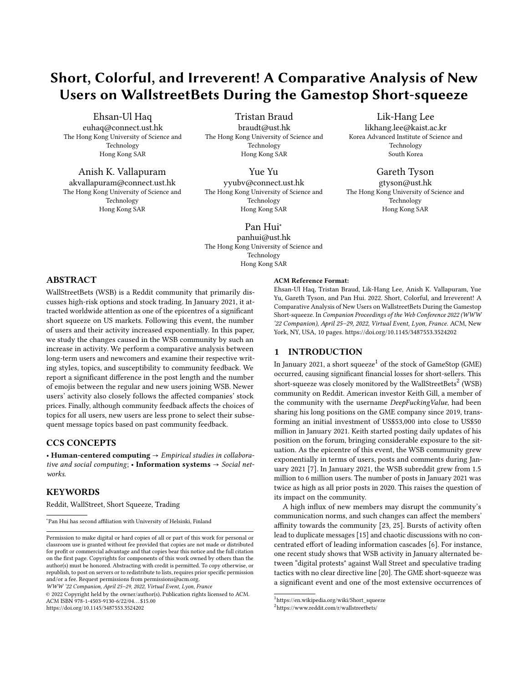WWW '22 Companion, April 25–29, 2022, Virtual Event, Lyon, France Haq et al. And the state Haq et al.

<span id="page-7-0"></span>

Figure 3: Absolute frequency (a,c), and normalized frequency (b,d) of the top-5 expressions and emojis. Both expressions and emojis give a view into the overall market sentiment, with bearish expressions and emojis from March 2020 until late 2020, and a resurgence of calls to buy and hold in late 2020-early 2021.

Our results on the feedback susceptibility pinpoint a theoretical question: What is the optimum balance in choosing a topic? On one end, users may choose a topic independently. On the other end, users might get influenced by community feedback. Additionally, the users from three categories might have varied information needs and may perform different search queries to see related content. As such, the reciprocity of the engagement might be diversified based on their needs [\[38\]](#page-8-33). Such behaviour needs to be studied in relation with users [\[22\]](#page-8-34), who are considered to have influence power on the peer users. In other words, how would the influencers react to the community feedback remains a question for future studies. Our analysis highlights another practical implication, especially when a high level of conversation rate exists. Users can be overwhelmed by large volumes of messages and comments, albeit we omitted the potential exposure of the contents [\[3\]](#page-8-35). The exposure of a post can be impacted by information overload. For instance, some posts get less exposure in the community due to a higher volume of posts being generated together with users' browsing time regarded as a limited resource. These factors limit the posts a user can see. Thus, a limited exposure of posts could limit the possibility of receiving user feedback. Our findings reinforce the existing knowledge that users' topical choice depends on the feedback mentioned above. Accordingly, the user's topical choice could impact the users' affinity towards the community [\[25\]](#page-8-2). This offers an opportunity for the research community to examine how Reddit users tackle the situation mentioned above to improve engagement.

Limitations: This paper focuses only on empirical measurements of user feedback and the volume of posts and comments within different user groups. State-of-the-art natural language processing models could provide an insightful analysis of the user's comments and uncover latent behaviours. For instance, we may check the existence of stock price manipulation through co-uses of stock names in the same discussion thread [\[11\]](#page-8-36). Moreover, this study did not quantify user interaction such as reciprocity of engagement between different user groups. Inter-group and intragroup engagement is necessary to support the causal analysis of user feedback among user groups and the user's topical choices. As such, we can understand how new users and existing users interact with each other and the effect of such interaction on their topical

choices. Interaction reciprocity is associated with users' perceived commitment to engage with each other and can vary based on the users' activity in the community [\[35,](#page-8-37) [38\]](#page-8-33). In terms of stock price prediction, advanced predictive methods such as LSTM or other deep learning methods may produce better accuracy [\[24\]](#page-8-38). However, our primary purpose was to present the basis of different users' characterisation within the WSB subreddit.

## 6 CONCLUSION

In this paper, we presented a comparative analysis of writing style, correlation with the stock prices, and the effect of community feedback on users' topics. We have shown that new users wrote shorter messages and used more emojis than the community norms during 2020. The continuing users wrote, on average, longer posts in 2020 and 2021 than the other two groups. However, regular users significantly changed their communications during January 2021, with more emojis and shorter posts than their previous norms. In addition, the correlation of continuing users with stocks volatility increased significantly during 2021, suggesting that continuing users were part of the discussions around the short-squeeze. We also showed that community feedback significantly affects the topic choices for WSB users, particularly for highly active users. Interestingly, users who joined in 2021 are more susceptible to community feedback than 2020 users, and continuing users are least susceptible to the feedback. Finally, we found that, although the communication styles are significantly different between new users and older users, new users adopted a specific language style consisting of specific emojis that characterises the WSB community. In our future work, we will include the comments in the predictive analysis and link the user profile information to characterise the users efficiently.

#### ACKNOWLEDGMENTS

This research has been supported in part by project 16214817 from the Research Grants Council of Hong Kong, and the 5GEAR project (Grant No. 318927) and the FIT project (Grant No. 325570) funded by the Academy of Finland.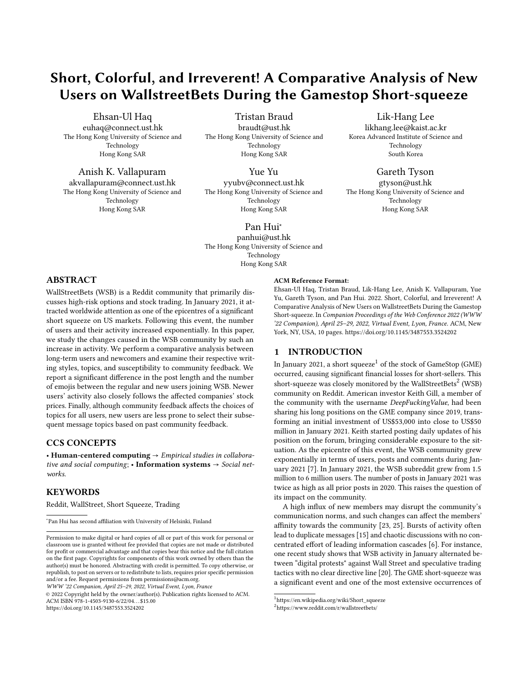A Comparative Analysis of New Users on WallstreetBets WWW '22 Companion, April 25–29, 2022, Virtual Event, Lyon, France

#### **REFERENCES**

- <span id="page-8-10"></span>[1] David Ifeoluwa Adelani, Ryota Kobayashi, Ingmar Weber, and Przemyslaw A Grabowicz. 2020. Estimating community feedback effect on topic choice in social media with predictive modeling. EPJ Data Science 9, 1 (2020), 25.
- <span id="page-8-19"></span>[2] Kholoud Khalil Aldous, Jisun An, and Bernard J Jansen. 2019. View, like, comment, post: Analyzing user engagement by topic at 4 levels across 5 social media platforms for 53 news organizations. In Proceedings of AAAI ICWSM 2019. 47–57.
- <span id="page-8-35"></span>[3] Jisun An, Daniele Quercia, and Jon Crowcroft. 2013. Fragmented social media: a look into selective exposure to political news. In Proceedings of ACM WWW 2013. 51–52.
- <span id="page-8-27"></span>[4] Abhinav Anand and Jalaj Pathak. 2021. WallStreetBets against wall street: The Role of reddit in the GameStop short squeeze. IIM Bangalore Research Paper 644 (2021).
- <span id="page-8-30"></span>[5] David M. Blei, Andrew Y. Ng, and Michael I. Jordan. 2003. Latent Dirichlet Allocation. J. Mach. Learn. Res. (March 2003), 993–1022.
- <span id="page-8-4"></span>[6] Christian Boylston, Beatriz Palacios, Plamen Tassev, and Amy Bruckman. 2021. WallStreetBets: Positions or Ban. arXiv preprint arXiv:2101.12110 (2021).
- <span id="page-8-0"></span>[7] Daniel Bradley, Jan Hanousek Jr, Russell Jame, and Zicheng Xiao. 2021. Place Your Bets? The Market Consequences of Investment Advice on Reddit's Wallstreetbets. Social Science Research Network (2021).
- <span id="page-8-23"></span>[8] Tolga Buz and Gerard de Melo. 2021. Should You Take Investment Advice From WallStreetBets? A Data-Driven Approach. arXiv preprint arXiv:2105.02728 (2021).
- <span id="page-8-17"></span>[9] Justin Cheng, Cristian Danescu-Niculescu-Mizil, and Jure Leskovec. 2015. Antisocial behavior in online discussion communities. In Ninth International AAAI ICWSM.
- <span id="page-8-22"></span>[10] Usman W Chohan. 2021. Too Big to Fail, Too Small to Win: The Counter-Hegemony of WallStreetBets. Too Small to Win: The Counter-Hegemony of Wall-StreetBets (May 18, 2021) (2021).
- <span id="page-8-36"></span>[11] Stefano Cresci, Fabrizio Lillo, Daniele Regoli, Serena Tardelli, and Maurizio Tesconi. 2018. \$FAKE: Evidence of spam and bot activity in stock microblogs on Twitter. In Proceedings of AAAI ICWSM 2018.
- <span id="page-8-20"></span>[12] Jenny L Davis and Timothy Graham. 2021. Emotional consequences and attention rewards: the social effects of ratings on Reddit. Information, Communication & Society (2021), 1–18.
- <span id="page-8-28"></span>[13] Alexis Dinno. 2015. Nonparametric pairwise multiple comparisons in independent groups using Dunn's test. The Stata Journal 15, 1 (2015), 292-300.
- <span id="page-8-13"></span>[14] Christopher Ifeanyi Eke, Azah Anir Norman, Liyana Shuib, and Henry Friday Nweke. 2019. A survey of user profiling: State-of-the-art, challenges, and solutions. IEEE Access 7 (2019), 144907–144924.
- <span id="page-8-3"></span>[15] Eric Gilbert. 2013. Widespread underprovision on reddit. In Proceedings of the 2013 conference on Computer supported cooperative work. 803–808.
- <span id="page-8-8"></span>[16] Wei Gong, Ee-Peng Lim, and Feida Zhu. 2015. Characterizing silent users in social media communities. In Proceedings of the International AAAI ICWSM.
- <span id="page-8-15"></span>[17] Andreea Gorbatai. 2011. Aligning collective production with demand: Evidence from Wikipedia. Available at SSRN (2011).
- <span id="page-8-11"></span>[18] Ehsan Ul Haq, Tristan Braud, and Pan Hui. 2020. Community Matters more than Anonymity: Analysis of User Interactions on the Quora Q&A Platform. In Proceedings of IEEE/ACM ASONAM 2020. IEEE, 94–98.
- <span id="page-8-14"></span>[19] Ehsan Ul Haq, Tristan Braud, Young D Kwon, and Pan Hui. 2020. A survey on computational politics. IEEE Access 8 (2020), 197379–197406.
- <span id="page-8-5"></span>[20] Tim Hasso, Daniel Müller, Matthias Pelster, and Sonja Warkulat. 2021. Who participated in the GameStop frenzy? Evidence from brokerage accounts. (2021).
- <span id="page-8-32"></span>[21] Yuheng Hu, Shelly Farnham, and Kartik Talamadupula. 2015. Predicting user engagement on twitter with real-world events. In Proceedings of the International AAAI ICWSM, Vol. 9.
- <span id="page-8-34"></span>[22] Chung-Wha 'Chloe' Ki and Youn-Kyung Kim. 2019. The mechanism by which social media influencers persuade consumers: The role of consumers' desire to mimic. Psychology & Marketing (2019).
- <span id="page-8-1"></span>[23] Charles Kiene, Andrés Monroy-Hernández, and Benjamin Mako Hill. 2016. Surviving an" Eternal September" How an Online Community Managed a Surge of Newcomers. In Proceedings of the 2016 CHI Conference on Human Factors in Computing Systems. 1152–1156.
- <span id="page-8-38"></span>[24] Prahlad Koratamaddi, Karan Wadhwani, Mridul Gupta, and Sriram G Sanjeevi. 2021. Market sentiment-aware deep reinforcement learning approach for stock portfolio allocation. Engineering Science and Technology, an International Journal (2021).
- <span id="page-8-2"></span>[25] Robert E Kraut, John M Levine, Marisol Martinez Escobar, and Amaç Herdağdelen. 2020. What Makes People Feel Close to Online Groups? The Roles of Group Attributes and Group Types. In Proceedings of AAAI ICWSM 2020.
- <span id="page-8-16"></span>[26] Robert E Kraut and Paul Resnick. 2012. Building successful online communities: Evidence-based social design. Mit Press.
- <span id="page-8-18"></span>[27] John M Levine and Richard L Moreland. 1994. Group socialization: Theory and research. European review of social psychology 5, 1 (1994), 305–336.
- <span id="page-8-9"></span>[28] Zhiyuan Lin, Niloufar Salehi, Bowen Yao, Yiqi Chen, and Michael S Bernstein. 2017. Better when it was smaller? community content and behavior after massive growth. In Eleventh International AAAI Conference on Web and Social Media.
- <span id="page-8-26"></span>[29] Štefan Lyócsa, Eduard Baumöhl, and Tomáš Vŷrost. 2021. YOLO trading: Riding with the herd during the GameStop episode. (2021).
- <span id="page-8-12"></span>[30] Edward Newell, David Jurgens, Haji Saleem, Hardik Vala, Jad Sassine, Caitrin Armstrong, and Derek Ruths. 2016. User migration in online social networks: A case study on reddit during a period of community unrest. In Proceedings of AAAI ICWSM 2016.
- <span id="page-8-29"></span>[31] Nuno Oliveira, Paulo Cortez, and Nelson Areal. 2017. The impact of microblogging data for stock market prediction: Using Twitter to predict returns, volatility, trading volume and survey sentiment indices. Expert Systems with Applications (2017). [32] Rebekah Overdorf and Rachel Greenstadt. 2016. Blogs, twitter feeds, and red-
- <span id="page-8-6"></span>dit comments: Cross-domain authorship attribution. Proceedings on Privacy Enhancing Technologies 2016, 3 (2016).
- <span id="page-8-31"></span>Michael Röder, Andreas Both, and Alexander Hinneburg. 2015. Exploring the Space of Topic Coherence Measures. In Proceedings of ACM WSDM 2015.
- <span id="page-8-21"></span>[34] Luca Rossi and Matteo Magnani. 2012. Conversation practices and network structure in Twitter. In Proceedings of AAAI ICWSM 2012.
- <span id="page-8-37"></span>[35] Sally A Shumaker and Arlene Brownell. 1984. Toward a theory of social support: Closing conceptual gaps. Journal of social issues 40, 4 (1984), 11–36.
- <span id="page-8-25"></span>[36] Angel Tengulov, Franklin Allen, Eric Nowak, and Matteo Pirovano. 2021. Squeezing Shorts Through Social News Platforms. Available at SSRN 3823151 (2021).
- <span id="page-8-24"></span>[37] Joey Wong. 2021. The Impact of Subreddit Comments on Daily Return and Volume. (2021).
- <span id="page-8-33"></span>[38] Xue Yang, Guoxin Li, and Songshan Sam Huang. 2017. Perceived online community support, member relations, and commitment: Differences between posters and lurkers. Information & management 54, 2 (2017), 154–165.
- <span id="page-8-7"></span>[39] Jiangchuan Zheng, Siyuan Liu, and Lionel M Ni. 2014. User characterization from geographic topic analysis in online social media. In 2014 IEEE/ACM ASONAM.